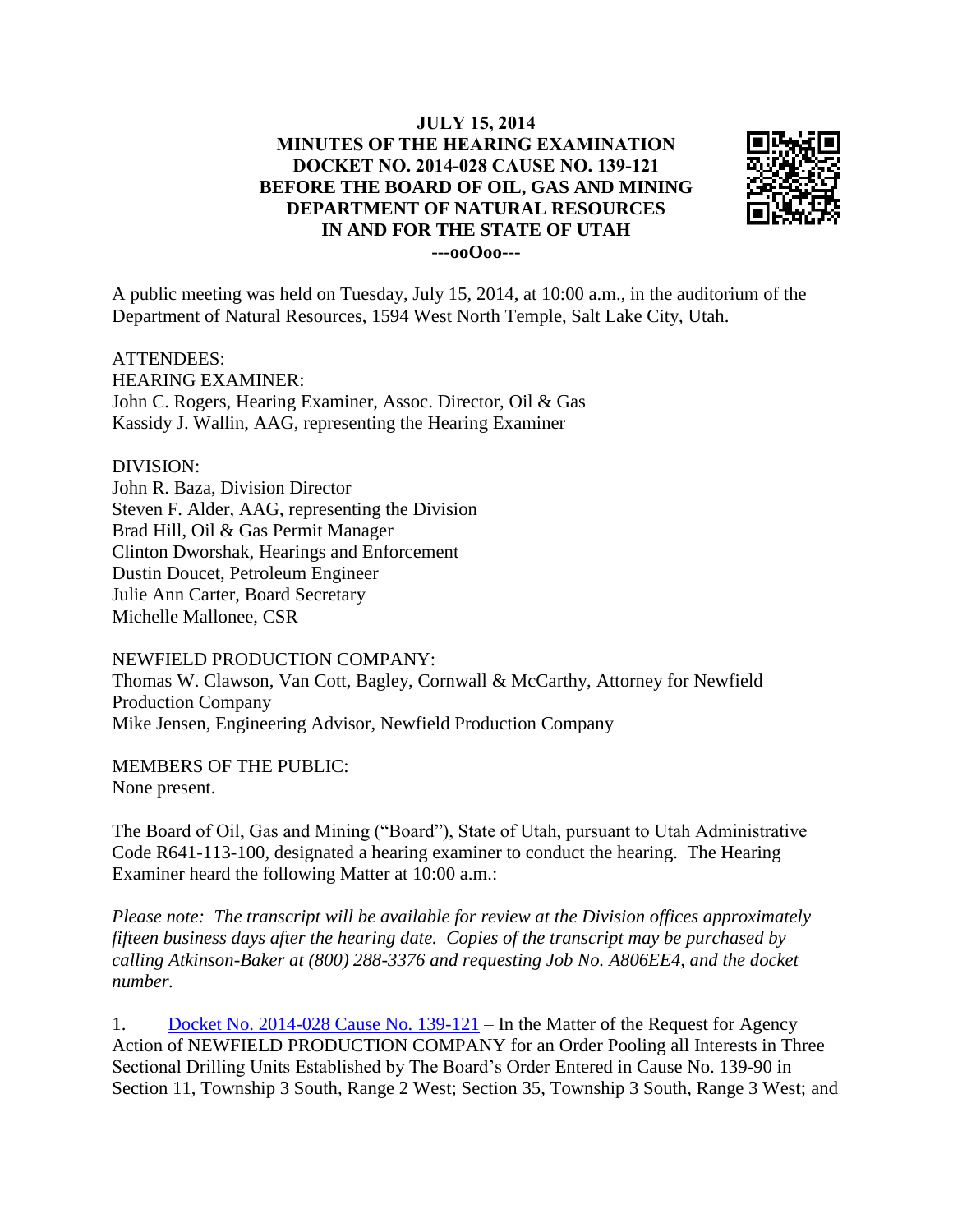## **JULY 15, 2014 MINUTES OF THE HEARING EXAMINATION DOCKET NO. 2014-028 CAUSE NO. 139-121 BEFORE THE BOARD OF OIL, GAS AND MINING DEPARTMENT OF NATURAL RESOURCES IN AND FOR THE STATE OF UTAH ---ooOoo---**



A public meeting was held on Tuesday, July 15, 2014, at 10:00 a.m., in the auditorium of the Department of Natural Resources, 1594 West North Temple, Salt Lake City, Utah.

ATTENDEES: HEARING EXAMINER: John C. Rogers, Hearing Examiner, Assoc. Director, Oil & Gas Kassidy J. Wallin, AAG, representing the Hearing Examiner

## DIVISION:

John R. Baza, Division Director Steven F. Alder, AAG, representing the Division Brad Hill, Oil & Gas Permit Manager Clinton Dworshak, Hearings and Enforcement Dustin Doucet, Petroleum Engineer Julie Ann Carter, Board Secretary Michelle Mallonee, CSR

NEWFIELD PRODUCTION COMPANY:

Thomas W. Clawson, Van Cott, Bagley, Cornwall & McCarthy, Attorney for Newfield Production Company Mike Jensen, Engineering Advisor, Newfield Production Company

MEMBERS OF THE PUBLIC: None present.

The Board of Oil, Gas and Mining ("Board"), State of Utah, pursuant to Utah Administrative Code R641-113-100, designated a hearing examiner to conduct the hearing. The Hearing Examiner heard the following Matter at 10:00 a.m.:

*Please note: The transcript will be available for review at the Division offices approximately fifteen business days after the hearing date. Copies of the transcript may be purchased by calling Atkinson-Baker at (800) 288-3376 and requesting Job No. A806EE4, and the docket number.*

1. [Docket No. 2014-028 Cause No. 139-121](http://ogm.utah.gov/amr/boardtemp/redesign/2014/07_Jul/Dockets/2014-028_139-121_Newfield.html) – In the Matter of the Request for Agency Action of NEWFIELD PRODUCTION COMPANY for an Order Pooling all Interests in Three Sectional Drilling Units Established by The Board's Order Entered in Cause No. 139-90 in Section 11, Township 3 South, Range 2 West; Section 35, Township 3 South, Range 3 West; and